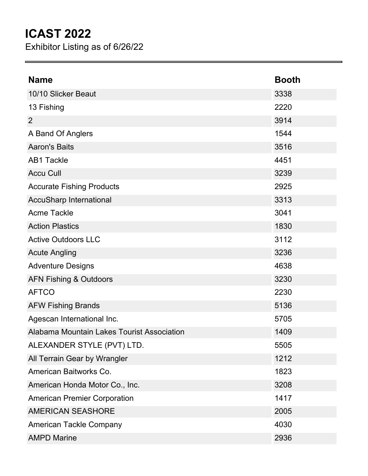## **ICAST 2022**

Exhibitor Listing as of 6/26/22

| <b>Name</b>                                | <b>Booth</b> |
|--------------------------------------------|--------------|
| 10/10 Slicker Beaut                        | 3338         |
| 13 Fishing                                 | 2220         |
| $\overline{2}$                             | 3914         |
| A Band Of Anglers                          | 1544         |
| <b>Aaron's Baits</b>                       | 3516         |
| <b>AB1 Tackle</b>                          | 4451         |
| <b>Accu Cull</b>                           | 3239         |
| <b>Accurate Fishing Products</b>           | 2925         |
| <b>AccuSharp International</b>             | 3313         |
| <b>Acme Tackle</b>                         | 3041         |
| <b>Action Plastics</b>                     | 1830         |
| <b>Active Outdoors LLC</b>                 | 3112         |
| <b>Acute Angling</b>                       | 3236         |
| <b>Adventure Designs</b>                   | 4638         |
| <b>AFN Fishing &amp; Outdoors</b>          | 3230         |
| <b>AFTCO</b>                               | 2230         |
| <b>AFW Fishing Brands</b>                  | 5136         |
| Agescan International Inc.                 | 5705         |
| Alabama Mountain Lakes Tourist Association | 1409         |
| ALEXANDER STYLE (PVT) LTD.                 | 5505         |
| All Terrain Gear by Wrangler               | 1212         |
| American Baitworks Co.                     | 1823         |
| American Honda Motor Co., Inc.             | 3208         |
| <b>American Premier Corporation</b>        | 1417         |
| <b>AMERICAN SEASHORE</b>                   | 2005         |
| <b>American Tackle Company</b>             | 4030         |
| <b>AMPD Marine</b>                         | 2936         |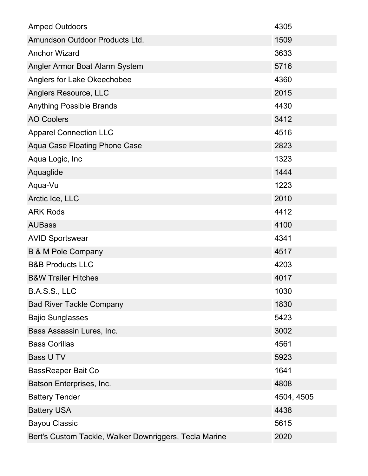| <b>Amped Outdoors</b>                                  | 4305       |
|--------------------------------------------------------|------------|
| Amundson Outdoor Products Ltd.                         | 1509       |
| <b>Anchor Wizard</b>                                   | 3633       |
| Angler Armor Boat Alarm System                         | 5716       |
| Anglers for Lake Okeechobee                            | 4360       |
| Anglers Resource, LLC                                  | 2015       |
| <b>Anything Possible Brands</b>                        | 4430       |
| <b>AO Coolers</b>                                      | 3412       |
| <b>Apparel Connection LLC</b>                          | 4516       |
| <b>Aqua Case Floating Phone Case</b>                   | 2823       |
| Aqua Logic, Inc                                        | 1323       |
| Aquaglide                                              | 1444       |
| Aqua-Vu                                                | 1223       |
| Arctic Ice, LLC                                        | 2010       |
| <b>ARK Rods</b>                                        | 4412       |
| <b>AUBass</b>                                          | 4100       |
| <b>AVID Sportswear</b>                                 | 4341       |
| <b>B &amp; M Pole Company</b>                          | 4517       |
| <b>B&amp;B Products LLC</b>                            | 4203       |
| <b>B&amp;W Trailer Hitches</b>                         | 4017       |
| B.A.S.S., LLC                                          | 1030       |
| <b>Bad River Tackle Company</b>                        | 1830       |
| <b>Bajio Sunglasses</b>                                | 5423       |
| Bass Assassin Lures, Inc.                              | 3002       |
| <b>Bass Gorillas</b>                                   | 4561       |
| Bass U TV                                              | 5923       |
| <b>BassReaper Bait Co</b>                              | 1641       |
| Batson Enterprises, Inc.                               | 4808       |
| <b>Battery Tender</b>                                  | 4504, 4505 |
| <b>Battery USA</b>                                     | 4438       |
| <b>Bayou Classic</b>                                   | 5615       |
| Bert's Custom Tackle, Walker Downriggers, Tecla Marine | 2020       |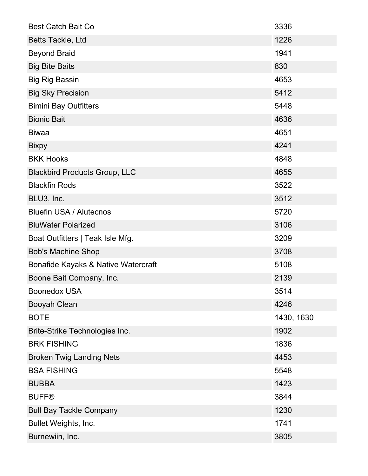| <b>Best Catch Bait Co</b>            | 3336       |
|--------------------------------------|------------|
| Betts Tackle, Ltd                    | 1226       |
| <b>Beyond Braid</b>                  | 1941       |
| <b>Big Bite Baits</b>                | 830        |
| <b>Big Rig Bassin</b>                | 4653       |
| <b>Big Sky Precision</b>             | 5412       |
| <b>Bimini Bay Outfitters</b>         | 5448       |
| <b>Bionic Bait</b>                   | 4636       |
| <b>Biwaa</b>                         | 4651       |
| <b>Bixpy</b>                         | 4241       |
| <b>BKK Hooks</b>                     | 4848       |
| <b>Blackbird Products Group, LLC</b> | 4655       |
| <b>Blackfin Rods</b>                 | 3522       |
| BLU3, Inc.                           | 3512       |
| <b>Bluefin USA / Alutecnos</b>       | 5720       |
| <b>BluWater Polarized</b>            | 3106       |
| Boat Outfitters   Teak Isle Mfg.     | 3209       |
| <b>Bob's Machine Shop</b>            | 3708       |
| Bonafide Kayaks & Native Watercraft  | 5108       |
| Boone Bait Company, Inc.             | 2139       |
| <b>Boonedox USA</b>                  | 3514       |
| <b>Booyah Clean</b>                  | 4246       |
| <b>BOTE</b>                          | 1430, 1630 |
| Brite-Strike Technologies Inc.       | 1902       |
| <b>BRK FISHING</b>                   | 1836       |
| <b>Broken Twig Landing Nets</b>      | 4453       |
| <b>BSA FISHING</b>                   | 5548       |
| <b>BUBBA</b>                         | 1423       |
| <b>BUFF®</b>                         | 3844       |
| <b>Bull Bay Tackle Company</b>       | 1230       |
| <b>Bullet Weights, Inc.</b>          | 1741       |
| Burnewiin, Inc.                      | 3805       |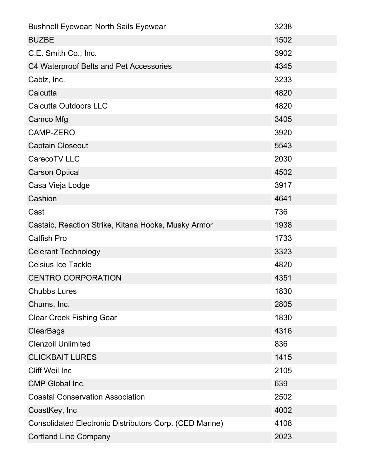| <b>Bushnell Eyewear; North Sails Eyewear</b>                   | 3238 |
|----------------------------------------------------------------|------|
| <b>BUZBE</b>                                                   | 1502 |
| C.E. Smith Co., Inc.                                           | 3902 |
| C4 Waterproof Belts and Pet Accessories                        | 4345 |
| Cablz, Inc.                                                    | 3233 |
| Calcutta                                                       | 4820 |
| <b>Calcutta Outdoors LLC</b>                                   | 4820 |
| Camco Mfg                                                      | 3405 |
| <b>CAMP-ZERO</b>                                               | 3920 |
| <b>Captain Closeout</b>                                        | 5543 |
| CarecoTV LLC                                                   | 2030 |
| <b>Carson Optical</b>                                          | 4502 |
| Casa Vieja Lodge                                               | 3917 |
| Cashion                                                        | 4641 |
| Cast                                                           | 736  |
| Castaic, Reaction Strike, Kitana Hooks, Musky Armor            | 1938 |
| <b>Catfish Pro</b>                                             | 1733 |
| <b>Celerant Technology</b>                                     | 3323 |
| <b>Celsius Ice Tackle</b>                                      | 4820 |
| <b>CENTRO CORPORATION</b>                                      | 4351 |
| <b>Chubbs Lures</b>                                            | 1830 |
| Chums, Inc.                                                    | 2805 |
| <b>Clear Creek Fishing Gear</b>                                | 1830 |
| <b>ClearBags</b>                                               | 4316 |
| <b>Clenzoil Unlimited</b>                                      | 836  |
| <b>CLICKBAIT LURES</b>                                         | 1415 |
| <b>Cliff Weil Inc.</b>                                         | 2105 |
| <b>CMP Global Inc.</b>                                         | 639  |
| <b>Coastal Conservation Association</b>                        | 2502 |
| CoastKey, Inc                                                  | 4002 |
| <b>Consolidated Electronic Distributors Corp. (CED Marine)</b> | 4108 |
| <b>Cortland Line Company</b>                                   | 2023 |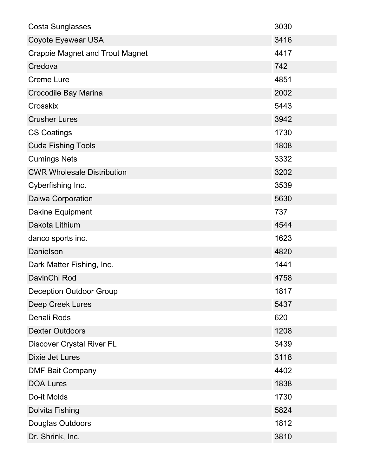| <b>Costa Sunglasses</b>                | 3030 |
|----------------------------------------|------|
| Coyote Eyewear USA                     | 3416 |
| <b>Crappie Magnet and Trout Magnet</b> | 4417 |
| Credova                                | 742  |
| <b>Creme Lure</b>                      | 4851 |
| Crocodile Bay Marina                   | 2002 |
| Crosskix                               | 5443 |
| <b>Crusher Lures</b>                   | 3942 |
| <b>CS Coatings</b>                     | 1730 |
| <b>Cuda Fishing Tools</b>              | 1808 |
| <b>Cumings Nets</b>                    | 3332 |
| <b>CWR Wholesale Distribution</b>      | 3202 |
| Cyberfishing Inc.                      | 3539 |
| Daiwa Corporation                      | 5630 |
| Dakine Equipment                       | 737  |
| Dakota Lithium                         | 4544 |
| danco sports inc.                      | 1623 |
| Danielson                              | 4820 |
| Dark Matter Fishing, Inc.              | 1441 |
| DavinChi Rod                           | 4758 |
| <b>Deception Outdoor Group</b>         | 1817 |
| Deep Creek Lures                       | 5437 |
| Denali Rods                            | 620  |
| <b>Dexter Outdoors</b>                 | 1208 |
| <b>Discover Crystal River FL</b>       | 3439 |
| <b>Dixie Jet Lures</b>                 | 3118 |
| <b>DMF Bait Company</b>                | 4402 |
| <b>DOA Lures</b>                       | 1838 |
| Do-it Molds                            | 1730 |
| <b>Dolvita Fishing</b>                 | 5824 |
| Douglas Outdoors                       | 1812 |
| Dr. Shrink, Inc.                       | 3810 |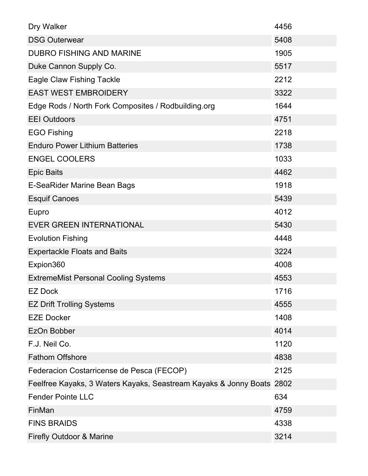| Dry Walker                                                            | 4456 |
|-----------------------------------------------------------------------|------|
| <b>DSG Outerwear</b>                                                  | 5408 |
| <b>DUBRO FISHING AND MARINE</b>                                       | 1905 |
| Duke Cannon Supply Co.                                                | 5517 |
| <b>Eagle Claw Fishing Tackle</b>                                      | 2212 |
| <b>EAST WEST EMBROIDERY</b>                                           | 3322 |
| Edge Rods / North Fork Composites / Rodbuilding.org                   | 1644 |
| <b>EEI Outdoors</b>                                                   | 4751 |
| <b>EGO Fishing</b>                                                    | 2218 |
| <b>Enduro Power Lithium Batteries</b>                                 | 1738 |
| <b>ENGEL COOLERS</b>                                                  | 1033 |
| <b>Epic Baits</b>                                                     | 4462 |
| E-SeaRider Marine Bean Bags                                           | 1918 |
| <b>Esquif Canoes</b>                                                  | 5439 |
| Eupro                                                                 | 4012 |
| <b>EVER GREEN INTERNATIONAL</b>                                       | 5430 |
| <b>Evolution Fishing</b>                                              | 4448 |
| <b>Expertackle Floats and Baits</b>                                   | 3224 |
| Expion 360                                                            | 4008 |
| <b>ExtremeMist Personal Cooling Systems</b>                           | 4553 |
| <b>EZ Dock</b>                                                        | 1716 |
| <b>EZ Drift Trolling Systems</b>                                      | 4555 |
| <b>EZE Docker</b>                                                     | 1408 |
| EzOn Bobber                                                           | 4014 |
| F.J. Neil Co.                                                         | 1120 |
| <b>Fathom Offshore</b>                                                | 4838 |
| Federacion Costarricense de Pesca (FECOP)                             | 2125 |
| Feelfree Kayaks, 3 Waters Kayaks, Seastream Kayaks & Jonny Boats 2802 |      |
| <b>Fender Pointe LLC</b>                                              | 634  |
| FinMan                                                                | 4759 |
| <b>FINS BRAIDS</b>                                                    | 4338 |
| <b>Firefly Outdoor &amp; Marine</b>                                   | 3214 |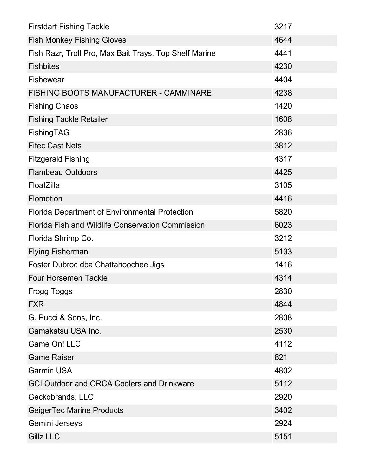| <b>Firstdart Fishing Tackle</b>                          | 3217 |
|----------------------------------------------------------|------|
| <b>Fish Monkey Fishing Gloves</b>                        | 4644 |
| Fish Razr, Troll Pro, Max Bait Trays, Top Shelf Marine   | 4441 |
| <b>Fishbites</b>                                         | 4230 |
| <b>Fishewear</b>                                         | 4404 |
| <b>FISHING BOOTS MANUFACTURER - CAMMINARE</b>            | 4238 |
| <b>Fishing Chaos</b>                                     | 1420 |
| <b>Fishing Tackle Retailer</b>                           | 1608 |
| FishingTAG                                               | 2836 |
| <b>Fitec Cast Nets</b>                                   | 3812 |
| <b>Fitzgerald Fishing</b>                                | 4317 |
| <b>Flambeau Outdoors</b>                                 | 4425 |
| FloatZilla                                               | 3105 |
| Flomotion                                                | 4416 |
| <b>Florida Department of Environmental Protection</b>    | 5820 |
| <b>Florida Fish and Wildlife Conservation Commission</b> | 6023 |
| Florida Shrimp Co.                                       | 3212 |
| <b>Flying Fisherman</b>                                  | 5133 |
| Foster Dubroc dba Chattahoochee Jigs                     | 1416 |
| <b>Four Horsemen Tackle</b>                              | 4314 |
| <b>Frogg Toggs</b>                                       | 2830 |
| <b>FXR</b>                                               | 4844 |
| G. Pucci & Sons, Inc.                                    | 2808 |
| Gamakatsu USA Inc.                                       | 2530 |
| Game On! LLC                                             | 4112 |
| <b>Game Raiser</b>                                       | 821  |
| <b>Garmin USA</b>                                        | 4802 |
| <b>GCI Outdoor and ORCA Coolers and Drinkware</b>        | 5112 |
| Geckobrands, LLC                                         | 2920 |
| GeigerTec Marine Products                                | 3402 |
| Gemini Jerseys                                           | 2924 |
| <b>Gillz LLC</b>                                         | 5151 |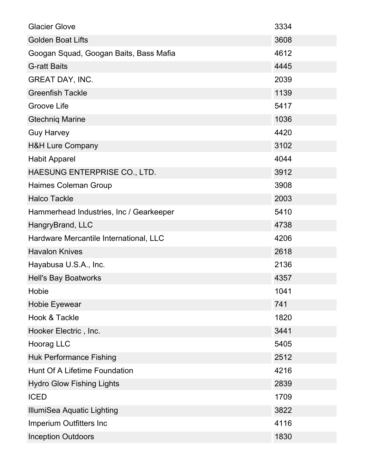| <b>Glacier Glove</b>                    | 3334 |
|-----------------------------------------|------|
| <b>Golden Boat Lifts</b>                | 3608 |
| Googan Squad, Googan Baits, Bass Mafia  | 4612 |
| <b>G-ratt Baits</b>                     | 4445 |
| <b>GREAT DAY, INC.</b>                  | 2039 |
| <b>Greenfish Tackle</b>                 | 1139 |
| Groove Life                             | 5417 |
| <b>Gtechniq Marine</b>                  | 1036 |
| <b>Guy Harvey</b>                       | 4420 |
| <b>H&amp;H Lure Company</b>             | 3102 |
| <b>Habit Apparel</b>                    | 4044 |
| HAESUNG ENTERPRISE CO., LTD.            | 3912 |
| Haimes Coleman Group                    | 3908 |
| <b>Halco Tackle</b>                     | 2003 |
| Hammerhead Industries, Inc / Gearkeeper | 5410 |
| HangryBrand, LLC                        | 4738 |
| Hardware Mercantile International, LLC  | 4206 |
| <b>Havalon Knives</b>                   | 2618 |
| Hayabusa U.S.A., Inc.                   | 2136 |
| <b>Hell's Bay Boatworks</b>             | 4357 |
| Hobie                                   | 1041 |
| Hobie Eyewear                           | 741  |
| Hook & Tackle                           | 1820 |
| Hooker Electric, Inc.                   | 3441 |
| Hoorag LLC                              | 5405 |
| <b>Huk Performance Fishing</b>          | 2512 |
| <b>Hunt Of A Lifetime Foundation</b>    | 4216 |
| <b>Hydro Glow Fishing Lights</b>        | 2839 |
| <b>ICED</b>                             | 1709 |
| <b>IllumiSea Aquatic Lighting</b>       | 3822 |
| Imperium Outfitters Inc                 | 4116 |
| <b>Inception Outdoors</b>               | 1830 |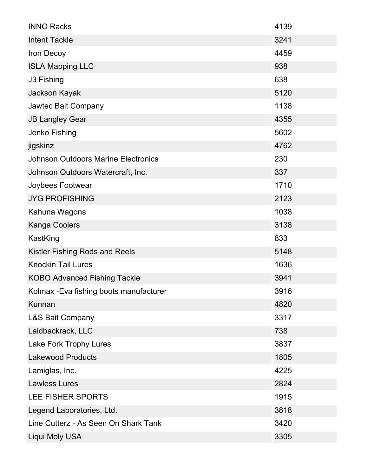| <b>INNO Racks</b>                          | 4139 |
|--------------------------------------------|------|
| <b>Intent Tackle</b>                       | 3241 |
| Iron Decoy                                 | 4459 |
| <b>ISLA Mapping LLC</b>                    | 938  |
| J3 Fishing                                 | 638  |
| <b>Jackson Kayak</b>                       | 5120 |
| Jawtec Bait Company                        | 1138 |
| <b>JB Langley Gear</b>                     | 4355 |
| Jenko Fishing                              | 5602 |
| jigskinz                                   | 4762 |
| <b>Johnson Outdoors Marine Electronics</b> | 230  |
| Johnson Outdoors Watercraft, Inc.          | 337  |
| Joybees Footwear                           | 1710 |
| <b>JYG PROFISHING</b>                      | 2123 |
| Kahuna Wagons                              | 1038 |
| <b>Kanga Coolers</b>                       | 3138 |
| KastKing                                   | 833  |
| Kistler Fishing Rods and Reels             | 5148 |
| <b>Knockin Tail Lures</b>                  | 1636 |
| <b>KOBO Advanced Fishing Tackle</b>        | 3941 |
| Kolmax - Eva fishing boots manufacturer    | 3916 |
| Kunnan                                     | 4820 |
| <b>L&amp;S Bait Company</b>                | 3317 |
| Laidbackrack, LLC                          |      |
|                                            | 738  |
| Lake Fork Trophy Lures                     | 3837 |
| <b>Lakewood Products</b>                   | 1805 |
| Lamiglas, Inc.                             | 4225 |
| <b>Lawless Lures</b>                       | 2824 |
| LEE FISHER SPORTS                          | 1915 |
| Legend Laboratories, Ltd.                  | 3818 |
| Line Cutterz - As Seen On Shark Tank       | 3420 |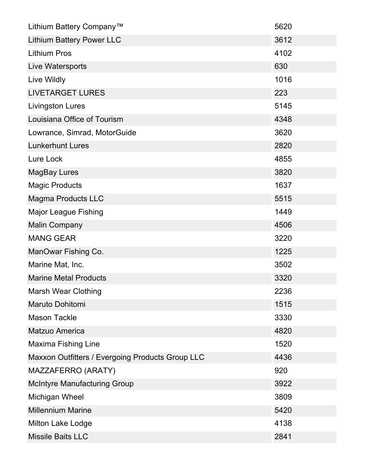| Lithium Battery Company™                         | 5620 |
|--------------------------------------------------|------|
| <b>Lithium Battery Power LLC</b>                 | 3612 |
| <b>Lithium Pros</b>                              | 4102 |
| Live Watersports                                 | 630  |
| Live Wildly                                      | 1016 |
| <b>LIVETARGET LURES</b>                          | 223  |
| <b>Livingston Lures</b>                          | 5145 |
| Louisiana Office of Tourism                      | 4348 |
| Lowrance, Simrad, MotorGuide                     | 3620 |
| <b>Lunkerhunt Lures</b>                          | 2820 |
| Lure Lock                                        | 4855 |
| MagBay Lures                                     | 3820 |
| <b>Magic Products</b>                            | 1637 |
| <b>Magma Products LLC</b>                        | 5515 |
| <b>Major League Fishing</b>                      | 1449 |
| <b>Malin Company</b>                             | 4506 |
| <b>MANG GEAR</b>                                 | 3220 |
| ManOwar Fishing Co.                              | 1225 |
| Marine Mat, Inc.                                 | 3502 |
| <b>Marine Metal Products</b>                     | 3320 |
| <b>Marsh Wear Clothing</b>                       | 2236 |
| Maruto Dohitomi                                  | 1515 |
| <b>Mason Tackle</b>                              | 3330 |
| <b>Matzuo America</b>                            | 4820 |
| <b>Maxima Fishing Line</b>                       | 1520 |
| Maxxon Outfitters / Evergoing Products Group LLC | 4436 |
| MAZZAFERRO (ARATY)                               | 920  |
| <b>McIntyre Manufacturing Group</b>              | 3922 |
| Michigan Wheel                                   | 3809 |
| <b>Millennium Marine</b>                         | 5420 |
| <b>Milton Lake Lodge</b>                         | 4138 |
| <b>Missile Baits LLC</b>                         | 2841 |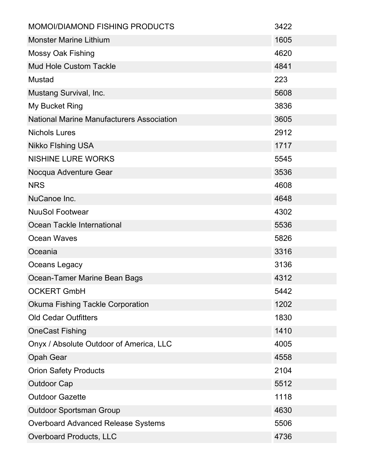| <b>MOMOI/DIAMOND FISHING PRODUCTS</b>            | 3422 |
|--------------------------------------------------|------|
| <b>Monster Marine Lithium</b>                    | 1605 |
| <b>Mossy Oak Fishing</b>                         | 4620 |
| <b>Mud Hole Custom Tackle</b>                    | 4841 |
| <b>Mustad</b>                                    | 223  |
| <b>Mustang Survival, Inc.</b>                    | 5608 |
| My Bucket Ring                                   | 3836 |
| <b>National Marine Manufacturers Association</b> | 3605 |
| <b>Nichols Lures</b>                             | 2912 |
| <b>Nikko Flshing USA</b>                         | 1717 |
| <b>NISHINE LURE WORKS</b>                        | 5545 |
| Nocqua Adventure Gear                            | 3536 |
| <b>NRS</b>                                       | 4608 |
| NuCanoe Inc.                                     | 4648 |
| <b>NuuSol Footwear</b>                           | 4302 |
| Ocean Tackle International                       | 5536 |
| <b>Ocean Waves</b>                               | 5826 |
| Oceania                                          | 3316 |
| Oceans Legacy                                    | 3136 |
| Ocean-Tamer Marine Bean Bags                     | 4312 |
| <b>OCKERT GmbH</b>                               | 5442 |
| <b>Okuma Fishing Tackle Corporation</b>          | 1202 |
| <b>Old Cedar Outfitters</b>                      | 1830 |
| <b>OneCast Fishing</b>                           | 1410 |
| Onyx / Absolute Outdoor of America, LLC          | 4005 |
| <b>Opah Gear</b>                                 | 4558 |
| <b>Orion Safety Products</b>                     | 2104 |
| <b>Outdoor Cap</b>                               | 5512 |
| <b>Outdoor Gazette</b>                           | 1118 |
|                                                  |      |
| <b>Outdoor Sportsman Group</b>                   | 4630 |
| <b>Overboard Advanced Release Systems</b>        | 5506 |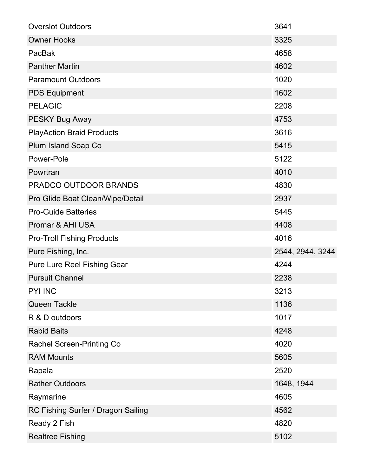| <b>Overslot Outdoors</b>           | 3641             |
|------------------------------------|------------------|
| <b>Owner Hooks</b>                 | 3325             |
| PacBak                             | 4658             |
| <b>Panther Martin</b>              | 4602             |
| <b>Paramount Outdoors</b>          | 1020             |
| <b>PDS Equipment</b>               | 1602             |
| <b>PELAGIC</b>                     | 2208             |
| <b>PESKY Bug Away</b>              | 4753             |
| <b>PlayAction Braid Products</b>   | 3616             |
| Plum Island Soap Co                | 5415             |
| Power-Pole                         | 5122             |
| Powrtran                           | 4010             |
| PRADCO OUTDOOR BRANDS              | 4830             |
| Pro Glide Boat Clean/Wipe/Detail   | 2937             |
| <b>Pro-Guide Batteries</b>         | 5445             |
| Promar & AHI USA                   | 4408             |
| <b>Pro-Troll Fishing Products</b>  | 4016             |
| Pure Fishing, Inc.                 | 2544, 2944, 3244 |
| <b>Pure Lure Reel Fishing Gear</b> | 4244             |
| <b>Pursuit Channel</b>             | 2238             |
| PYI INC                            | 3213             |
| <b>Queen Tackle</b>                | 1136             |
| R & D outdoors                     | 1017             |
| <b>Rabid Baits</b>                 | 4248             |
| <b>Rachel Screen-Printing Co</b>   | 4020             |
| <b>RAM Mounts</b>                  | 5605             |
| Rapala                             | 2520             |
| <b>Rather Outdoors</b>             | 1648, 1944       |
| Raymarine                          | 4605             |
| RC Fishing Surfer / Dragon Sailing | 4562             |
| Ready 2 Fish                       | 4820             |
| <b>Realtree Fishing</b>            | 5102             |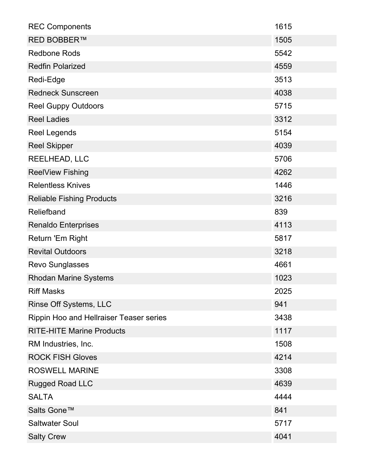| <b>REC Components</b>                          | 1615 |
|------------------------------------------------|------|
| <b>RED BOBBER™</b>                             | 1505 |
| <b>Redbone Rods</b>                            | 5542 |
| <b>Redfin Polarized</b>                        | 4559 |
| Redi-Edge                                      | 3513 |
| <b>Redneck Sunscreen</b>                       | 4038 |
| <b>Reel Guppy Outdoors</b>                     | 5715 |
| <b>Reel Ladies</b>                             | 3312 |
| <b>Reel Legends</b>                            | 5154 |
| <b>Reel Skipper</b>                            | 4039 |
| REELHEAD, LLC                                  | 5706 |
| <b>ReelView Fishing</b>                        | 4262 |
| <b>Relentless Knives</b>                       | 1446 |
| <b>Reliable Fishing Products</b>               | 3216 |
| Reliefband                                     | 839  |
| <b>Renaldo Enterprises</b>                     | 4113 |
| Return 'Em Right                               | 5817 |
| <b>Revital Outdoors</b>                        | 3218 |
| <b>Revo Sunglasses</b>                         | 4661 |
| <b>Rhodan Marine Systems</b>                   | 1023 |
| <b>Riff Masks</b>                              | 2025 |
| Rinse Off Systems, LLC                         | 941  |
| <b>Rippin Hoo and Hellraiser Teaser series</b> | 3438 |
| <b>RITE-HITE Marine Products</b>               | 1117 |
| RM Industries, Inc.                            | 1508 |
| <b>ROCK FISH Gloves</b>                        | 4214 |
| <b>ROSWELL MARINE</b>                          | 3308 |
| <b>Rugged Road LLC</b>                         | 4639 |
| <b>SALTA</b>                                   | 4444 |
| Salts Gone™                                    | 841  |
| <b>Saltwater Soul</b>                          | 5717 |
| <b>Salty Crew</b>                              | 4041 |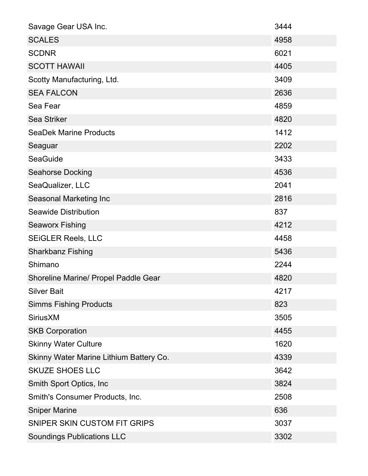| Savage Gear USA Inc.                    | 3444 |
|-----------------------------------------|------|
| <b>SCALES</b>                           | 4958 |
| <b>SCDNR</b>                            | 6021 |
| <b>SCOTT HAWAII</b>                     | 4405 |
| Scotty Manufacturing, Ltd.              | 3409 |
| <b>SEA FALCON</b>                       | 2636 |
| Sea Fear                                | 4859 |
| <b>Sea Striker</b>                      | 4820 |
| <b>SeaDek Marine Products</b>           | 1412 |
| Seaguar                                 | 2202 |
| <b>SeaGuide</b>                         | 3433 |
| <b>Seahorse Docking</b>                 | 4536 |
| SeaQualizer, LLC                        | 2041 |
| Seasonal Marketing Inc                  | 2816 |
| <b>Seawide Distribution</b>             | 837  |
| <b>Seaworx Fishing</b>                  | 4212 |
| <b>SEIGLER Reels, LLC</b>               | 4458 |
| <b>Sharkbanz Fishing</b>                | 5436 |
| Shimano                                 | 2244 |
| Shoreline Marine/ Propel Paddle Gear    | 4820 |
| <b>Silver Bait</b>                      | 4217 |
| <b>Simms Fishing Products</b>           | 823  |
| <b>Sirius XM</b>                        | 3505 |
| <b>SKB Corporation</b>                  | 4455 |
| <b>Skinny Water Culture</b>             | 1620 |
| Skinny Water Marine Lithium Battery Co. | 4339 |
| <b>SKUZE SHOES LLC</b>                  | 3642 |
| Smith Sport Optics, Inc.                | 3824 |
| Smith's Consumer Products, Inc.         | 2508 |
| <b>Sniper Marine</b>                    | 636  |
| SNIPER SKIN CUSTOM FIT GRIPS            | 3037 |
| <b>Soundings Publications LLC</b>       | 3302 |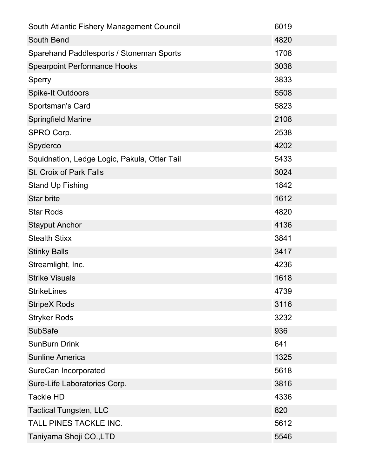| South Atlantic Fishery Management Council    | 6019 |
|----------------------------------------------|------|
| South Bend                                   | 4820 |
| Sparehand Paddlesports / Stoneman Sports     | 1708 |
| <b>Spearpoint Performance Hooks</b>          | 3038 |
| Sperry                                       | 3833 |
| <b>Spike-It Outdoors</b>                     | 5508 |
| Sportsman's Card                             | 5823 |
| <b>Springfield Marine</b>                    | 2108 |
| SPRO Corp.                                   | 2538 |
| Spyderco                                     | 4202 |
| Squidnation, Ledge Logic, Pakula, Otter Tail | 5433 |
| St. Croix of Park Falls                      | 3024 |
| <b>Stand Up Fishing</b>                      | 1842 |
| Star brite                                   | 1612 |
| <b>Star Rods</b>                             | 4820 |
| <b>Stayput Anchor</b>                        | 4136 |
| <b>Stealth Stixx</b>                         | 3841 |
| <b>Stinky Balls</b>                          | 3417 |
| Streamlight, Inc.                            | 4236 |
| <b>Strike Visuals</b>                        | 1618 |
| <b>StrikeLines</b>                           | 4739 |
| <b>StripeX Rods</b>                          | 3116 |
| <b>Stryker Rods</b>                          | 3232 |
| <b>SubSafe</b>                               | 936  |
| <b>SunBurn Drink</b>                         | 641  |
| <b>Sunline America</b>                       | 1325 |
| SureCan Incorporated                         | 5618 |
| Sure-Life Laboratories Corp.                 | 3816 |
| <b>Tackle HD</b>                             | 4336 |
| <b>Tactical Tungsten, LLC</b>                | 820  |
| TALL PINES TACKLE INC.                       | 5612 |
| Taniyama Shoji CO., LTD                      | 5546 |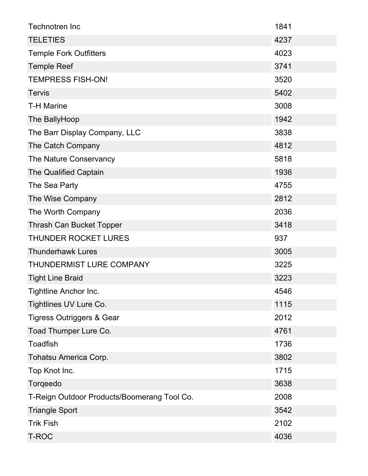| Technotren Inc                              | 1841 |
|---------------------------------------------|------|
| <b>TELETIES</b>                             | 4237 |
| <b>Temple Fork Outfitters</b>               | 4023 |
| <b>Temple Reef</b>                          | 3741 |
| <b>TEMPRESS FISH-ON!</b>                    | 3520 |
| <b>Tervis</b>                               | 5402 |
| <b>T-H Marine</b>                           | 3008 |
| The BallyHoop                               | 1942 |
| The Barr Display Company, LLC               | 3838 |
| The Catch Company                           | 4812 |
| The Nature Conservancy                      | 5818 |
| <b>The Qualified Captain</b>                | 1936 |
| The Sea Party                               | 4755 |
| The Wise Company                            | 2812 |
| The Worth Company                           | 2036 |
| <b>Thrash Can Bucket Topper</b>             | 3418 |
| <b>THUNDER ROCKET LURES</b>                 | 937  |
| <b>Thunderhawk Lures</b>                    | 3005 |
| <b>THUNDERMIST LURE COMPANY</b>             | 3225 |
| <b>Tight Line Braid</b>                     | 3223 |
| <b>Tightline Anchor Inc.</b>                | 4546 |
| Tightlines UV Lure Co.                      | 1115 |
| <b>Tigress Outriggers &amp; Gear</b>        | 2012 |
| Toad Thumper Lure Co.                       | 4761 |
| <b>Toadfish</b>                             | 1736 |
| Tohatsu America Corp.                       | 3802 |
| Top Knot Inc.                               | 1715 |
| Torqeedo                                    | 3638 |
| T-Reign Outdoor Products/Boomerang Tool Co. | 2008 |
| <b>Triangle Sport</b>                       | 3542 |
| <b>Trik Fish</b>                            | 2102 |
| T-ROC                                       | 4036 |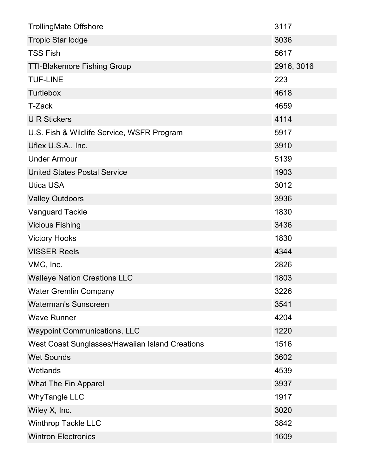| <b>TrollingMate Offshore</b>                    | 3117       |
|-------------------------------------------------|------------|
| <b>Tropic Star lodge</b>                        | 3036       |
| <b>TSS Fish</b>                                 | 5617       |
| <b>TTI-Blakemore Fishing Group</b>              | 2916, 3016 |
| <b>TUF-LINE</b>                                 | 223        |
| <b>Turtlebox</b>                                | 4618       |
| T-Zack                                          | 4659       |
| <b>UR Stickers</b>                              | 4114       |
| U.S. Fish & Wildlife Service, WSFR Program      | 5917       |
| Uflex U.S.A., Inc.                              | 3910       |
| <b>Under Armour</b>                             | 5139       |
| <b>United States Postal Service</b>             | 1903       |
| <b>Utica USA</b>                                | 3012       |
| <b>Valley Outdoors</b>                          | 3936       |
| <b>Vanguard Tackle</b>                          | 1830       |
| <b>Vicious Fishing</b>                          | 3436       |
| <b>Victory Hooks</b>                            | 1830       |
| <b>VISSER Reels</b>                             | 4344       |
| VMC, Inc.                                       | 2826       |
| <b>Walleye Nation Creations LLC</b>             | 1803       |
| <b>Water Gremlin Company</b>                    | 3226       |
| <b>Waterman's Sunscreen</b>                     | 3541       |
| <b>Wave Runner</b>                              | 4204       |
| <b>Waypoint Communications, LLC</b>             | 1220       |
| West Coast Sunglasses/Hawaiian Island Creations | 1516       |
| <b>Wet Sounds</b>                               | 3602       |
| Wetlands                                        | 4539       |
| What The Fin Apparel                            | 3937       |
| <b>WhyTangle LLC</b>                            | 1917       |
| Wiley X, Inc.                                   | 3020       |
| <b>Winthrop Tackle LLC</b>                      | 3842       |
| <b>Wintron Electronics</b>                      | 1609       |